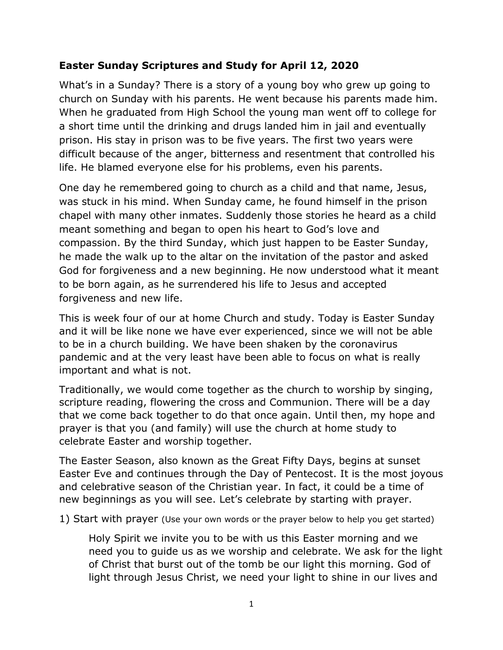### **Easter Sunday Scriptures and Study for April 12, 2020**

What's in a Sunday? There is a story of a young boy who grew up going to church on Sunday with his parents. He went because his parents made him. When he graduated from High School the young man went off to college for a short time until the drinking and drugs landed him in jail and eventually prison. His stay in prison was to be five years. The first two years were difficult because of the anger, bitterness and resentment that controlled his life. He blamed everyone else for his problems, even his parents.

One day he remembered going to church as a child and that name, Jesus, was stuck in his mind. When Sunday came, he found himself in the prison chapel with many other inmates. Suddenly those stories he heard as a child meant something and began to open his heart to God's love and compassion. By the third Sunday, which just happen to be Easter Sunday, he made the walk up to the altar on the invitation of the pastor and asked God for forgiveness and a new beginning. He now understood what it meant to be born again, as he surrendered his life to Jesus and accepted forgiveness and new life.

This is week four of our at home Church and study. Today is Easter Sunday and it will be like none we have ever experienced, since we will not be able to be in a church building. We have been shaken by the coronavirus pandemic and at the very least have been able to focus on what is really important and what is not.

Traditionally, we would come together as the church to worship by singing, scripture reading, flowering the cross and Communion. There will be a day that we come back together to do that once again. Until then, my hope and prayer is that you (and family) will use the church at home study to celebrate Easter and worship together.

The Easter Season, also known as the Great Fifty Days, begins at sunset Easter Eve and continues through the Day of Pentecost. It is the most joyous and celebrative season of the Christian year. In fact, it could be a time of new beginnings as you will see. Let's celebrate by starting with prayer.

1) Start with prayer (Use your own words or the prayer below to help you get started)

Holy Spirit we invite you to be with us this Easter morning and we need you to guide us as we worship and celebrate. We ask for the light of Christ that burst out of the tomb be our light this morning. God of light through Jesus Christ, we need your light to shine in our lives and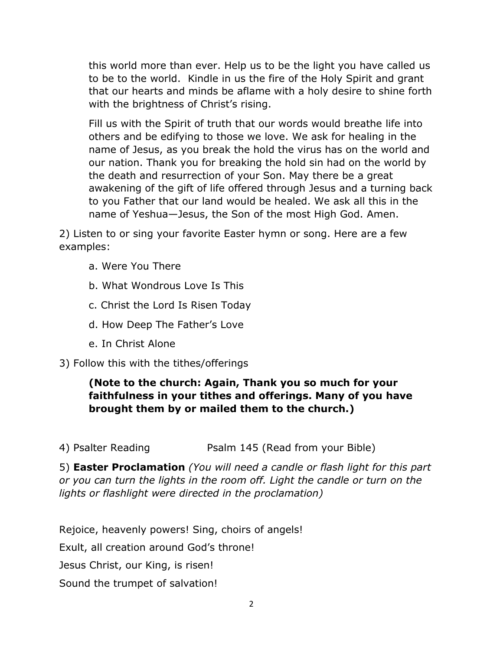this world more than ever. Help us to be the light you have called us to be to the world. Kindle in us the fire of the Holy Spirit and grant that our hearts and minds be aflame with a holy desire to shine forth with the brightness of Christ's rising.

Fill us with the Spirit of truth that our words would breathe life into others and be edifying to those we love. We ask for healing in the name of Jesus, as you break the hold the virus has on the world and our nation. Thank you for breaking the hold sin had on the world by the death and resurrection of your Son. May there be a great awakening of the gift of life offered through Jesus and a turning back to you Father that our land would be healed. We ask all this in the name of Yeshua—Jesus, the Son of the most High God. Amen.

2) Listen to or sing your favorite Easter hymn or song. Here are a few examples:

- a. Were You There
- b. What Wondrous Love Is This
- c. Christ the Lord Is Risen Today
- d. How Deep The Father's Love
- e. In Christ Alone

3) Follow this with the tithes/offerings

# **(Note to the church: Again, Thank you so much for your faithfulness in your tithes and offerings. Many of you have brought them by or mailed them to the church.)**

4) Psalter Reading **Psalm 145 (Read from your Bible)** 

5) **Easter Proclamation** *(You will need a candle or flash light for this part or you can turn the lights in the room off. Light the candle or turn on the lights or flashlight were directed in the proclamation)*

Rejoice, heavenly powers! Sing, choirs of angels!

Exult, all creation around God's throne!

Jesus Christ, our King, is risen!

Sound the trumpet of salvation!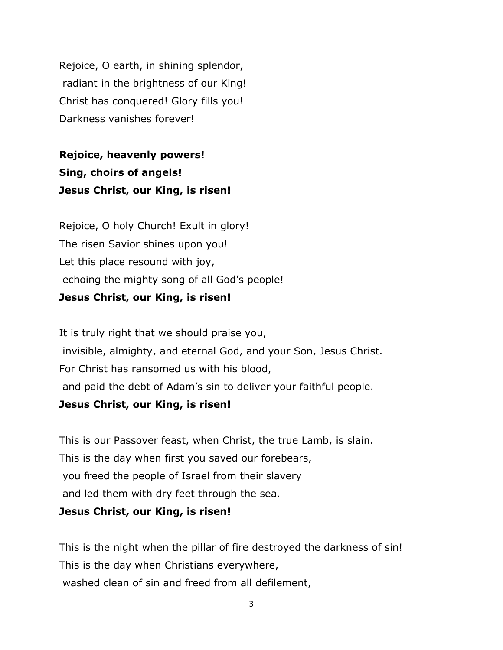Rejoice, O earth, in shining splendor, radiant in the brightness of our King! Christ has conquered! Glory fills you! Darkness vanishes forever!

**Rejoice, heavenly powers! Sing, choirs of angels! Jesus Christ, our King, is risen!**

Rejoice, O holy Church! Exult in glory! The risen Savior shines upon you! Let this place resound with joy, echoing the mighty song of all God's people! **Jesus Christ, our King, is risen!**

It is truly right that we should praise you, invisible, almighty, and eternal God, and your Son, Jesus Christ. For Christ has ransomed us with his blood, and paid the debt of Adam's sin to deliver your faithful people. **Jesus Christ, our King, is risen!**

This is our Passover feast, when Christ, the true Lamb, is slain. This is the day when first you saved our forebears, you freed the people of Israel from their slavery and led them with dry feet through the sea.

#### **Jesus Christ, our King, is risen!**

This is the night when the pillar of fire destroyed the darkness of sin! This is the day when Christians everywhere, washed clean of sin and freed from all defilement,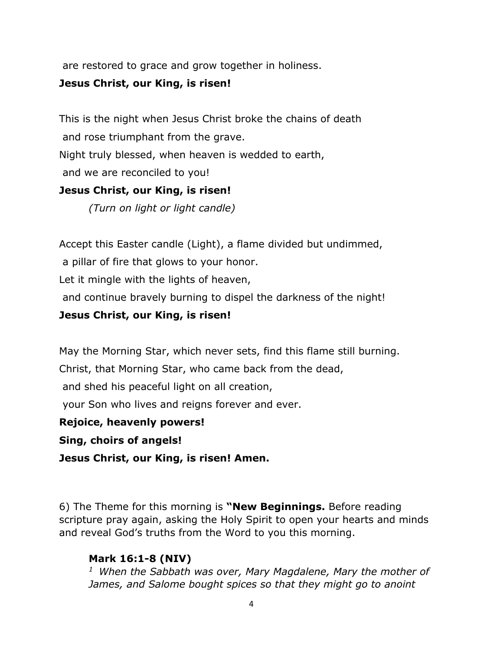are restored to grace and grow together in holiness.

#### **Jesus Christ, our King, is risen!**

This is the night when Jesus Christ broke the chains of death and rose triumphant from the grave. Night truly blessed, when heaven is wedded to earth, and we are reconciled to you! **Jesus Christ, our King, is risen!**

*(Turn on light or light candle)*

Accept this Easter candle (Light), a flame divided but undimmed,

a pillar of fire that glows to your honor.

Let it mingle with the lights of heaven,

and continue bravely burning to dispel the darkness of the night!

### **Jesus Christ, our King, is risen!**

May the Morning Star, which never sets, find this flame still burning.

Christ, that Morning Star, who came back from the dead,

and shed his peaceful light on all creation,

your Son who lives and reigns forever and ever.

**Rejoice, heavenly powers!**

**Sing, choirs of angels!**

**Jesus Christ, our King, is risen! Amen.**

6) The Theme for this morning is **"New Beginnings.** Before reading scripture pray again, asking the Holy Spirit to open your hearts and minds and reveal God's truths from the Word to you this morning.

# **Mark 16:1-8 (NIV)**

*<sup>1</sup>When the Sabbath was over, Mary Magdalene, Mary the mother of James, and Salome bought spices so that they might go to anoint*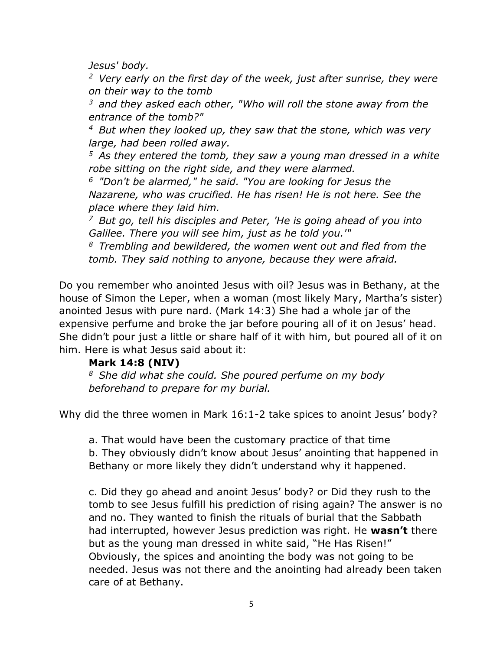*Jesus' body.* 

*<sup>2</sup>Very early on the first day of the week, just after sunrise, they were on their way to the tomb* 

*<sup>3</sup>and they asked each other, "Who will roll the stone away from the entrance of the tomb?"* 

*<sup>4</sup>But when they looked up, they saw that the stone, which was very large, had been rolled away.* 

*<sup>5</sup>As they entered the tomb, they saw a young man dressed in a white robe sitting on the right side, and they were alarmed.* 

*<sup>6</sup>"Don't be alarmed," he said. "You are looking for Jesus the Nazarene, who was crucified. He has risen! He is not here. See the place where they laid him.* 

*<sup>7</sup>But go, tell his disciples and Peter, 'He is going ahead of you into Galilee. There you will see him, just as he told you.'"* 

*<sup>8</sup>Trembling and bewildered, the women went out and fled from the tomb. They said nothing to anyone, because they were afraid.* 

Do you remember who anointed Jesus with oil? Jesus was in Bethany, at the house of Simon the Leper, when a woman (most likely Mary, Martha's sister) anointed Jesus with pure nard. (Mark 14:3) She had a whole jar of the expensive perfume and broke the jar before pouring all of it on Jesus' head. She didn't pour just a little or share half of it with him, but poured all of it on him. Here is what Jesus said about it:

### **Mark 14:8 (NIV)**

*<sup>8</sup>She did what she could. She poured perfume on my body beforehand to prepare for my burial.*

Why did the three women in Mark 16:1-2 take spices to anoint Jesus' body?

a. That would have been the customary practice of that time b. They obviously didn't know about Jesus' anointing that happened in Bethany or more likely they didn't understand why it happened.

c. Did they go ahead and anoint Jesus' body? or Did they rush to the tomb to see Jesus fulfill his prediction of rising again? The answer is no and no. They wanted to finish the rituals of burial that the Sabbath had interrupted, however Jesus prediction was right. He **wasn't** there but as the young man dressed in white said, "He Has Risen!" Obviously, the spices and anointing the body was not going to be needed. Jesus was not there and the anointing had already been taken care of at Bethany.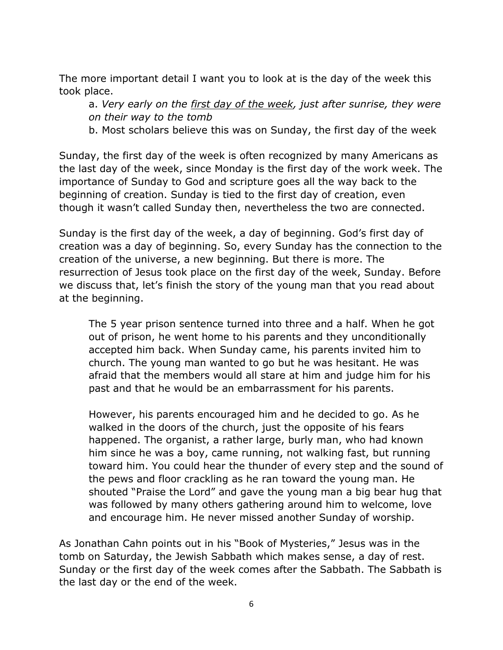The more important detail I want you to look at is the day of the week this took place.

a. *Very early on the first day of the week, just after sunrise, they were on their way to the tomb*

b. Most scholars believe this was on Sunday, the first day of the week

Sunday, the first day of the week is often recognized by many Americans as the last day of the week, since Monday is the first day of the work week. The importance of Sunday to God and scripture goes all the way back to the beginning of creation. Sunday is tied to the first day of creation, even though it wasn't called Sunday then, nevertheless the two are connected.

Sunday is the first day of the week, a day of beginning. God's first day of creation was a day of beginning. So, every Sunday has the connection to the creation of the universe, a new beginning. But there is more. The resurrection of Jesus took place on the first day of the week, Sunday. Before we discuss that, let's finish the story of the young man that you read about at the beginning.

The 5 year prison sentence turned into three and a half. When he got out of prison, he went home to his parents and they unconditionally accepted him back. When Sunday came, his parents invited him to church. The young man wanted to go but he was hesitant. He was afraid that the members would all stare at him and judge him for his past and that he would be an embarrassment for his parents.

However, his parents encouraged him and he decided to go. As he walked in the doors of the church, just the opposite of his fears happened. The organist, a rather large, burly man, who had known him since he was a boy, came running, not walking fast, but running toward him. You could hear the thunder of every step and the sound of the pews and floor crackling as he ran toward the young man. He shouted "Praise the Lord" and gave the young man a big bear hug that was followed by many others gathering around him to welcome, love and encourage him. He never missed another Sunday of worship.

As Jonathan Cahn points out in his "Book of Mysteries," Jesus was in the tomb on Saturday, the Jewish Sabbath which makes sense, a day of rest. Sunday or the first day of the week comes after the Sabbath. The Sabbath is the last day or the end of the week.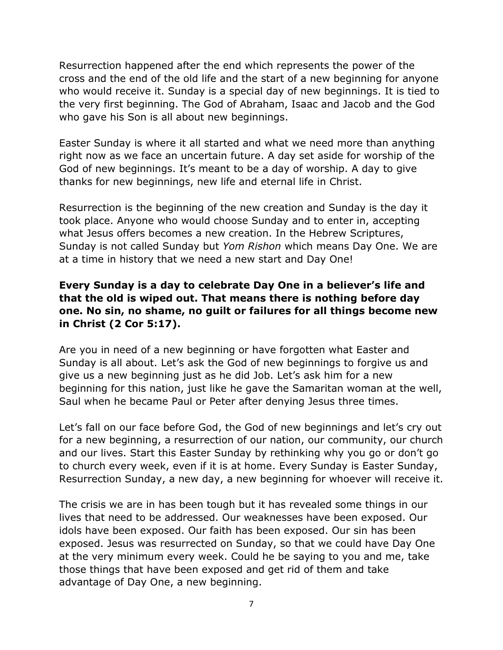Resurrection happened after the end which represents the power of the cross and the end of the old life and the start of a new beginning for anyone who would receive it. Sunday is a special day of new beginnings. It is tied to the very first beginning. The God of Abraham, Isaac and Jacob and the God who gave his Son is all about new beginnings.

Easter Sunday is where it all started and what we need more than anything right now as we face an uncertain future. A day set aside for worship of the God of new beginnings. It's meant to be a day of worship. A day to give thanks for new beginnings, new life and eternal life in Christ.

Resurrection is the beginning of the new creation and Sunday is the day it took place. Anyone who would choose Sunday and to enter in, accepting what Jesus offers becomes a new creation. In the Hebrew Scriptures, Sunday is not called Sunday but *Yom Rishon* which means Day One. We are at a time in history that we need a new start and Day One!

# **Every Sunday is a day to celebrate Day One in a believer's life and that the old is wiped out. That means there is nothing before day one. No sin, no shame, no guilt or failures for all things become new in Christ (2 Cor 5:17).**

Are you in need of a new beginning or have forgotten what Easter and Sunday is all about. Let's ask the God of new beginnings to forgive us and give us a new beginning just as he did Job. Let's ask him for a new beginning for this nation, just like he gave the Samaritan woman at the well, Saul when he became Paul or Peter after denying Jesus three times.

Let's fall on our face before God, the God of new beginnings and let's cry out for a new beginning, a resurrection of our nation, our community, our church and our lives. Start this Easter Sunday by rethinking why you go or don't go to church every week, even if it is at home. Every Sunday is Easter Sunday, Resurrection Sunday, a new day, a new beginning for whoever will receive it.

The crisis we are in has been tough but it has revealed some things in our lives that need to be addressed. Our weaknesses have been exposed. Our idols have been exposed. Our faith has been exposed. Our sin has been exposed. Jesus was resurrected on Sunday, so that we could have Day One at the very minimum every week. Could he be saying to you and me, take those things that have been exposed and get rid of them and take advantage of Day One, a new beginning.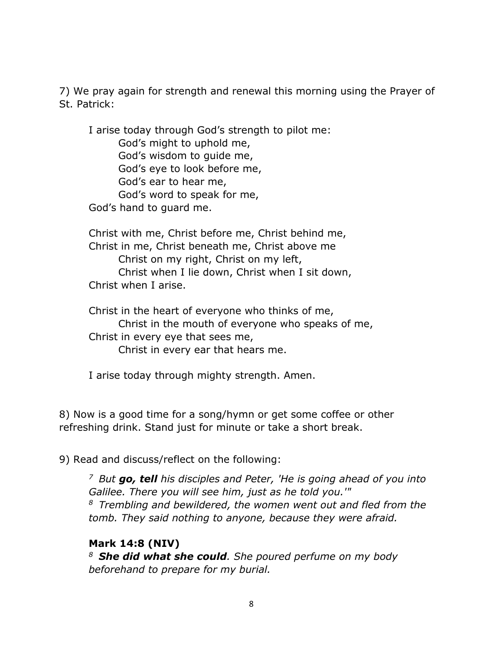7) We pray again for strength and renewal this morning using the Prayer of St. Patrick:

I arise today through God's strength to pilot me: God's might to uphold me, God's wisdom to guide me, God's eye to look before me, God's ear to hear me, God's word to speak for me, God's hand to guard me.

Christ with me, Christ before me, Christ behind me, Christ in me, Christ beneath me, Christ above me Christ on my right, Christ on my left, Christ when I lie down, Christ when I sit down, Christ when I arise.

Christ in the heart of everyone who thinks of me, Christ in the mouth of everyone who speaks of me, Christ in every eye that sees me, Christ in every ear that hears me.

I arise today through mighty strength. Amen.

8) Now is a good time for a song/hymn or get some coffee or other refreshing drink. Stand just for minute or take a short break.

9) Read and discuss/reflect on the following:

*<sup>7</sup>But go, tell his disciples and Peter, 'He is going ahead of you into Galilee. There you will see him, just as he told you.'" <sup>8</sup>Trembling and bewildered, the women went out and fled from the tomb. They said nothing to anyone, because they were afraid.* 

#### **Mark 14:8 (NIV)**

*<sup>8</sup>She did what she could. She poured perfume on my body beforehand to prepare for my burial.*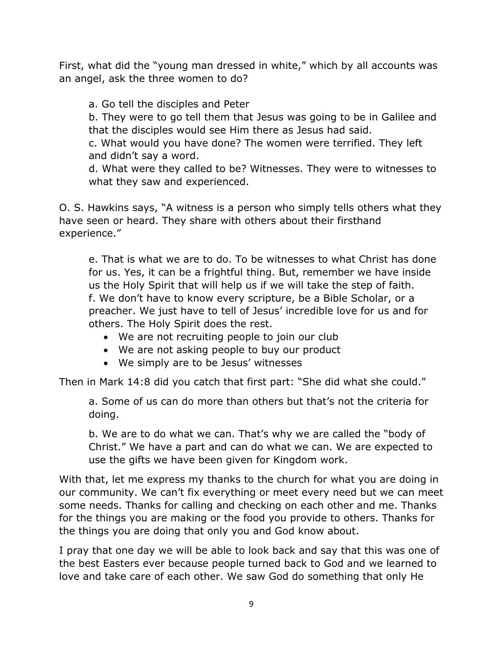First, what did the "young man dressed in white," which by all accounts was an angel, ask the three women to do?

a. Go tell the disciples and Peter

b. They were to go tell them that Jesus was going to be in Galilee and that the disciples would see Him there as Jesus had said.

c. What would you have done? The women were terrified. They left and didn't say a word.

d. What were they called to be? Witnesses. They were to witnesses to what they saw and experienced.

O. S. Hawkins says, "A witness is a person who simply tells others what they have seen or heard. They share with others about their firsthand experience."

e. That is what we are to do. To be witnesses to what Christ has done for us. Yes, it can be a frightful thing. But, remember we have inside us the Holy Spirit that will help us if we will take the step of faith. f. We don't have to know every scripture, be a Bible Scholar, or a preacher. We just have to tell of Jesus' incredible love for us and for others. The Holy Spirit does the rest.

- We are not recruiting people to join our club
- We are not asking people to buy our product
- We simply are to be Jesus' witnesses

Then in Mark 14:8 did you catch that first part: "She did what she could."

a. Some of us can do more than others but that's not the criteria for doing.

b. We are to do what we can. That's why we are called the "body of Christ." We have a part and can do what we can. We are expected to use the gifts we have been given for Kingdom work.

With that, let me express my thanks to the church for what you are doing in our community. We can't fix everything or meet every need but we can meet some needs. Thanks for calling and checking on each other and me. Thanks for the things you are making or the food you provide to others. Thanks for the things you are doing that only you and God know about.

I pray that one day we will be able to look back and say that this was one of the best Easters ever because people turned back to God and we learned to love and take care of each other. We saw God do something that only He